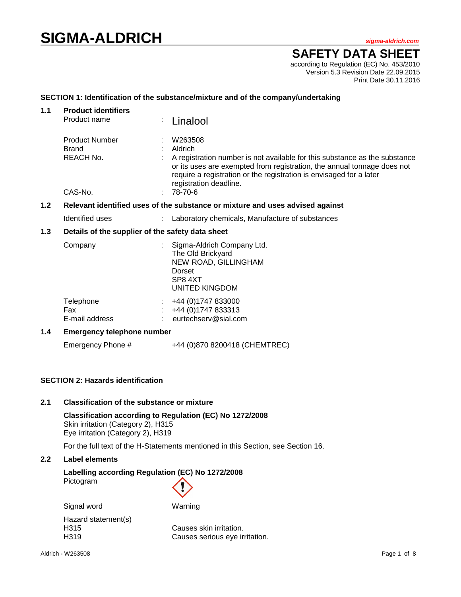# **SIGMA-ALDRICH** *sigma-aldrich.com*

**SAFETY DATA SHEET**

according to Regulation (EC) No. 453/2010 Version 5.3 Revision Date 22.09.2015 Print Date 30.11.2016

# **SECTION 1: Identification of the substance/mixture and of the company/undertaking**

| 1.1 | <b>Product identifiers</b>                                                    |  |                                                                                                                                                                                                                                                                              |  |  |  |
|-----|-------------------------------------------------------------------------------|--|------------------------------------------------------------------------------------------------------------------------------------------------------------------------------------------------------------------------------------------------------------------------------|--|--|--|
|     | Product name                                                                  |  | Linalool                                                                                                                                                                                                                                                                     |  |  |  |
|     | <b>Product Number</b><br><b>Brand</b><br>REACH No.                            |  | W263508<br>Aldrich<br>A registration number is not available for this substance as the substance<br>or its uses are exempted from registration, the annual tonnage does not<br>require a registration or the registration is envisaged for a later<br>registration deadline. |  |  |  |
|     | CAS-No.                                                                       |  | 78-70-6                                                                                                                                                                                                                                                                      |  |  |  |
| 1.2 | Relevant identified uses of the substance or mixture and uses advised against |  |                                                                                                                                                                                                                                                                              |  |  |  |
|     | Identified uses                                                               |  | Laboratory chemicals, Manufacture of substances                                                                                                                                                                                                                              |  |  |  |
| 1.3 | Details of the supplier of the safety data sheet                              |  |                                                                                                                                                                                                                                                                              |  |  |  |
|     | Company                                                                       |  | Sigma-Aldrich Company Ltd.<br>The Old Brickyard<br>NEW ROAD, GILLINGHAM<br>Dorset<br>SP8 4XT<br>UNITED KINGDOM                                                                                                                                                               |  |  |  |
|     | Telephone<br><b>Fax</b><br>E-mail address                                     |  | +44 (0) 1747 833000<br>+44 (0) 1747 833313<br>eurtechserv@sial.com                                                                                                                                                                                                           |  |  |  |
| 1.4 | <b>Emergency telephone number</b>                                             |  |                                                                                                                                                                                                                                                                              |  |  |  |
|     | Emergency Phone #                                                             |  | +44 (0)870 8200418 (CHEMTREC)                                                                                                                                                                                                                                                |  |  |  |

# **SECTION 2: Hazards identification**

# **2.1 Classification of the substance or mixture**

**Classification according to Regulation (EC) No 1272/2008** Skin irritation (Category 2), H315 Eye irritation (Category 2), H319

For the full text of the H-Statements mentioned in this Section, see Section 16.

# **2.2 Label elements**

# **Labelling according Regulation (EC) No 1272/2008** Pictogram

| Signal word         | Warning                        |
|---------------------|--------------------------------|
| Hazard statement(s) |                                |
| H315                | Causes skin irritation.        |
| H <sub>3</sub> 19   | Causes serious eye irritation. |
|                     |                                |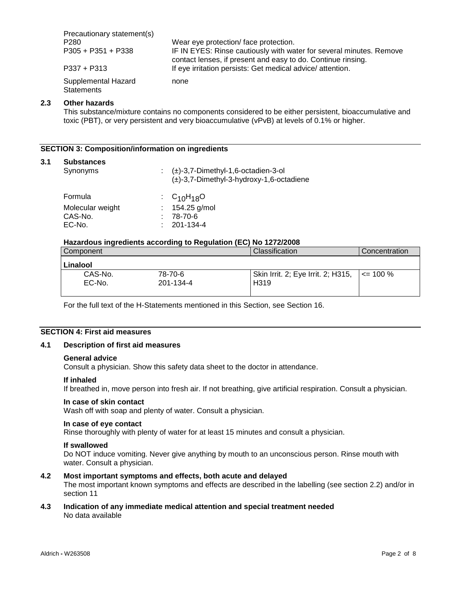Precautionary statement(s) P280 Wear eye protection/ face protection.<br>
P305 + P351 + P338 IF IN EYES: Rinse cautiously with wa IF IN EYES: Rinse cautiously with water for several minutes. Remove contact lenses, if present and easy to do. Continue rinsing. P337 + P313 If eye irritation persists: Get medical advice/ attention. Supplemental Hazard **Statements** none

#### **2.3 Other hazards**

This substance/mixture contains no components considered to be either persistent, bioaccumulative and toxic (PBT), or very persistent and very bioaccumulative (vPvB) at levels of 0.1% or higher.

#### **SECTION 3: Composition/information on ingredients**

#### **3.1 Substances**

| Synonyms         | $\pm$ ( $\pm$ )-3,7-Dimethyl-1,6-octadien-3-ol<br>$(\pm)$ -3,7-Dimethyl-3-hydroxy-1,6-octadiene |
|------------------|-------------------------------------------------------------------------------------------------|
| Formula          | $\cdot$ C <sub>10</sub> H <sub>18</sub> O                                                       |
| Molecular weight | : $154.25$ g/mol                                                                                |
| CAS-No.          | 78-70-6                                                                                         |
| EC-No.           | 201-134-4                                                                                       |

#### **Hazardous ingredients according to Regulation (EC) No 1272/2008**

| Component |           | Classification                     | Concentration |
|-----------|-----------|------------------------------------|---------------|
| Linalool  |           |                                    |               |
| CAS-No.   | 78-70-6   | Skin Irrit. 2; Eye Irrit. 2; H315, | $\le$ 100 %   |
| EC-No.    | 201-134-4 | H <sub>3</sub> 19                  |               |

For the full text of the H-Statements mentioned in this Section, see Section 16.

# **SECTION 4: First aid measures**

#### **4.1 Description of first aid measures**

#### **General advice**

Consult a physician. Show this safety data sheet to the doctor in attendance.

#### **If inhaled**

If breathed in, move person into fresh air. If not breathing, give artificial respiration. Consult a physician.

#### **In case of skin contact**

Wash off with soap and plenty of water. Consult a physician.

#### **In case of eye contact**

Rinse thoroughly with plenty of water for at least 15 minutes and consult a physician.

#### **If swallowed**

Do NOT induce vomiting. Never give anything by mouth to an unconscious person. Rinse mouth with water. Consult a physician.

# **4.2 Most important symptoms and effects, both acute and delayed**

The most important known symptoms and effects are described in the labelling (see section 2.2) and/or in section 11

#### **4.3 Indication of any immediate medical attention and special treatment needed** No data available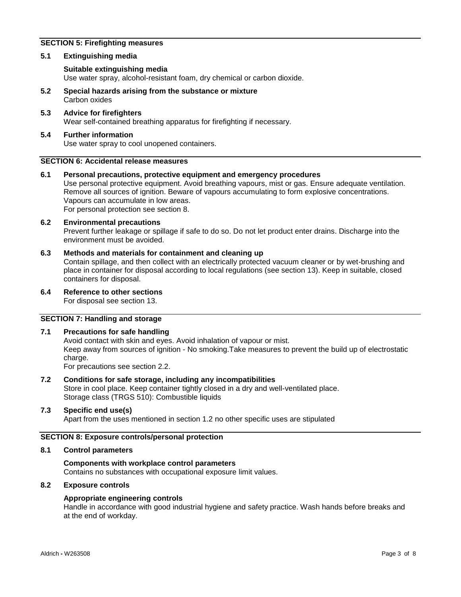# **SECTION 5: Firefighting measures**

#### **5.1 Extinguishing media**

#### **Suitable extinguishing media**

Use water spray, alcohol-resistant foam, dry chemical or carbon dioxide.

- **5.2 Special hazards arising from the substance or mixture** Carbon oxides
- **5.3 Advice for firefighters** Wear self-contained breathing apparatus for firefighting if necessary.

# **5.4 Further information** Use water spray to cool unopened containers.

#### **SECTION 6: Accidental release measures**

**6.1 Personal precautions, protective equipment and emergency procedures** Use personal protective equipment. Avoid breathing vapours, mist or gas. Ensure adequate ventilation. Remove all sources of ignition. Beware of vapours accumulating to form explosive concentrations. Vapours can accumulate in low areas. For personal protection see section 8.

# **6.2 Environmental precautions**

Prevent further leakage or spillage if safe to do so. Do not let product enter drains. Discharge into the environment must be avoided.

#### **6.3 Methods and materials for containment and cleaning up**

Contain spillage, and then collect with an electrically protected vacuum cleaner or by wet-brushing and place in container for disposal according to local regulations (see section 13). Keep in suitable, closed containers for disposal.

#### **6.4 Reference to other sections**

For disposal see section 13.

# **SECTION 7: Handling and storage**

#### **7.1 Precautions for safe handling**

Avoid contact with skin and eyes. Avoid inhalation of vapour or mist. Keep away from sources of ignition - No smoking.Take measures to prevent the build up of electrostatic charge.

For precautions see section 2.2.

# **7.2 Conditions for safe storage, including any incompatibilities**

Store in cool place. Keep container tightly closed in a dry and well-ventilated place. Storage class (TRGS 510): Combustible liquids

# **7.3 Specific end use(s)**

Apart from the uses mentioned in section 1.2 no other specific uses are stipulated

# **SECTION 8: Exposure controls/personal protection**

#### **8.1 Control parameters**

# **Components with workplace control parameters**

Contains no substances with occupational exposure limit values.

# **8.2 Exposure controls**

# **Appropriate engineering controls**

Handle in accordance with good industrial hygiene and safety practice. Wash hands before breaks and at the end of workday.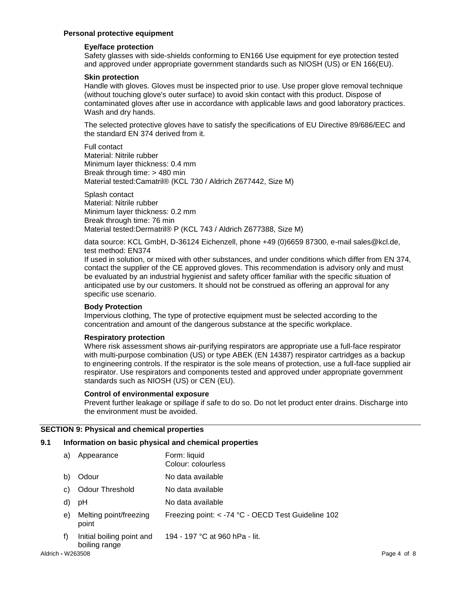# **Personal protective equipment**

#### **Eye/face protection**

Safety glasses with side-shields conforming to EN166 Use equipment for eye protection tested and approved under appropriate government standards such as NIOSH (US) or EN 166(EU).

#### **Skin protection**

Handle with gloves. Gloves must be inspected prior to use. Use proper glove removal technique (without touching glove's outer surface) to avoid skin contact with this product. Dispose of contaminated gloves after use in accordance with applicable laws and good laboratory practices. Wash and dry hands.

The selected protective gloves have to satisfy the specifications of EU Directive 89/686/EEC and the standard EN 374 derived from it.

Full contact Material: Nitrile rubber Minimum layer thickness: 0.4 mm Break through time: > 480 min Material tested:Camatril® (KCL 730 / Aldrich Z677442, Size M)

Splash contact Material: Nitrile rubber Minimum layer thickness: 0.2 mm Break through time: 76 min Material tested:Dermatril® P (KCL 743 / Aldrich Z677388, Size M)

data source: KCL GmbH, D-36124 Eichenzell, phone +49 (0)6659 87300, e-mail sales@kcl.de, test method: EN374

If used in solution, or mixed with other substances, and under conditions which differ from EN 374, contact the supplier of the CE approved gloves. This recommendation is advisory only and must be evaluated by an industrial hygienist and safety officer familiar with the specific situation of anticipated use by our customers. It should not be construed as offering an approval for any specific use scenario.

# **Body Protection**

Impervious clothing, The type of protective equipment must be selected according to the concentration and amount of the dangerous substance at the specific workplace.

# **Respiratory protection**

Where risk assessment shows air-purifying respirators are appropriate use a full-face respirator with multi-purpose combination (US) or type ABEK (EN 14387) respirator cartridges as a backup to engineering controls. If the respirator is the sole means of protection, use a full-face supplied air respirator. Use respirators and components tested and approved under appropriate government standards such as NIOSH (US) or CEN (EU).

#### **Control of environmental exposure**

Prevent further leakage or spillage if safe to do so. Do not let product enter drains. Discharge into the environment must be avoided.

# **SECTION 9: Physical and chemical properties**

# **9.1 Information on basic physical and chemical properties**

| a)                | Appearance                                 | Form: liquid<br>Colour: colourless                 |             |
|-------------------|--------------------------------------------|----------------------------------------------------|-------------|
| b)                | Odour                                      | No data available                                  |             |
| C)                | <b>Odour Threshold</b>                     | No data available                                  |             |
| d)                | рH                                         | No data available                                  |             |
| e)                | Melting point/freezing<br>point            | Freezing point: < -74 °C - OECD Test Guideline 102 |             |
| f)                | Initial boiling point and<br>boiling range | 194 - 197 °C at 960 hPa - lit.                     |             |
| Aldrich - W263508 |                                            |                                                    | Page 4 of 8 |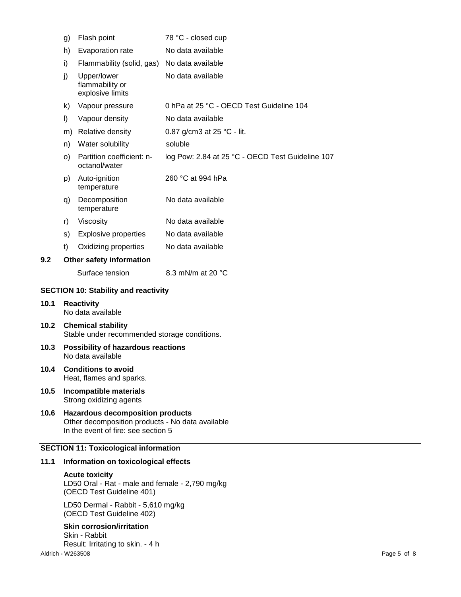|                                             | g) | Flash point                                        | 78 °C - closed cup                               |  |
|---------------------------------------------|----|----------------------------------------------------|--------------------------------------------------|--|
|                                             | h) | Evaporation rate                                   | No data available                                |  |
|                                             | i) | Flammability (solid, gas)                          | No data available                                |  |
|                                             | j) | Upper/lower<br>flammability or<br>explosive limits | No data available                                |  |
|                                             | k) | Vapour pressure                                    | 0 hPa at 25 °C - OECD Test Guideline 104         |  |
|                                             | I) | Vapour density                                     | No data available                                |  |
|                                             | m) | Relative density                                   | 0.87 g/cm3 at 25 °C - lit.                       |  |
|                                             | n) | Water solubility                                   | soluble                                          |  |
|                                             | O) | Partition coefficient: n-<br>octanol/water         | log Pow: 2.84 at 25 °C - OECD Test Guideline 107 |  |
|                                             | p) | Auto-ignition<br>temperature                       | 260 °C at 994 hPa                                |  |
|                                             | q) | Decomposition<br>temperature                       | No data available                                |  |
|                                             | r) | Viscosity                                          | No data available                                |  |
|                                             | s) | <b>Explosive properties</b>                        | No data available                                |  |
|                                             | t) | Oxidizing properties                               | No data available                                |  |
| 9.2                                         |    | Other safety information                           |                                                  |  |
|                                             |    | Surface tension                                    | 8.3 mN/m at 20 °C                                |  |
| <b>SECTION 10: Stability and reactivity</b> |    |                                                    |                                                  |  |

# SEC<sup>-</sup>

- **10.1 Reactivity** No data available
- **10.2 Chemical stability** Stable under recommended storage conditions.
- **10.3 Possibility of hazardous reactions** No data available
- **10.4 Conditions to avoid** Heat, flames and sparks.
- **10.5 Incompatible materials** Strong oxidizing agents
- **10.6 Hazardous decomposition products** Other decomposition products - No data available In the event of fire: see section 5

# **SECTION 11: Toxicological information**

#### **11.1 Information on toxicological effects**

#### **Acute toxicity**

LD50 Oral - Rat - male and female - 2,790 mg/kg (OECD Test Guideline 401)

LD50 Dermal - Rabbit - 5,610 mg/kg (OECD Test Guideline 402)

# **Skin corrosion/irritation**

Aldrich **-** W263508 Page 5 of 8 Skin - Rabbit Result: Irritating to skin. - 4 h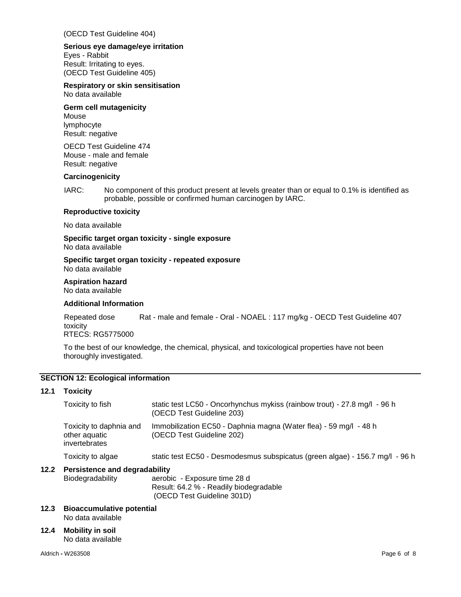(OECD Test Guideline 404)

# **Serious eye damage/eye irritation**

Eyes - Rabbit Result: Irritating to eyes. (OECD Test Guideline 405)

# **Respiratory or skin sensitisation**

No data available

#### **Germ cell mutagenicity** Mouse lymphocyte

Result: negative

OECD Test Guideline 474 Mouse - male and female Result: negative

# **Carcinogenicity**

IARC: No component of this product present at levels greater than or equal to 0.1% is identified as probable, possible or confirmed human carcinogen by IARC.

# **Reproductive toxicity**

No data available

**Specific target organ toxicity - single exposure** No data available

#### **Specific target organ toxicity - repeated exposure** No data available

# **Aspiration hazard**

No data available

# **Additional Information**

Repeated dose toxicity Rat - male and female - Oral - NOAEL : 117 mg/kg - OECD Test Guideline 407 RTECS: RG5775000

To the best of our knowledge, the chemical, physical, and toxicological properties have not been thoroughly investigated.

# **SECTION 12: Ecological information**

# **12.1 Toxicity**

|                                                                                                                                | Toxicity to fish                                          | static test LC50 - Oncorhynchus mykiss (rainbow trout) - 27.8 mg/l - 96 h<br>(OECD Test Guideline 203) |
|--------------------------------------------------------------------------------------------------------------------------------|-----------------------------------------------------------|--------------------------------------------------------------------------------------------------------|
|                                                                                                                                | Toxicity to daphnia and<br>other aquatic<br>invertebrates | Immobilization EC50 - Daphnia magna (Water flea) - 59 mg/l - 48 h<br>(OECD Test Guideline 202)         |
|                                                                                                                                | Toxicity to algae                                         | static test EC50 - Desmodesmus subspicatus (green algae) - 156.7 mg/l - 96 h                           |
| 12.2<br><b>Persistence and degradability</b><br>Biodegradability<br>aerobic - Exposure time 28 d<br>(OECD Test Guideline 301D) |                                                           | Result: 64.2 % - Readily biodegradable                                                                 |

# **12.3 Bioaccumulative potential**

No data available

# **12.4 Mobility in soil**

No data available